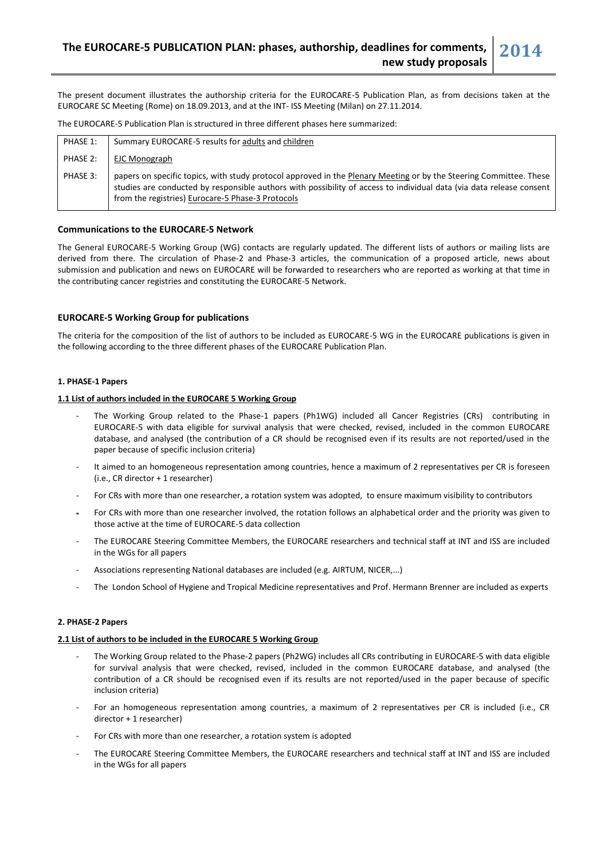The present document illustrates the authorship criteria for the EUROCARE-5 Publication Plan, as from decisions taken at the EUROCARE SC Meeting (Rome) on 18.09.2013, and at the INT- ISS Meeting (Milan) on 27.11.2014.

The EUROCARE-5 Publication Plan is structured in three different phases here summarized:

| PHASE 1: | Summary EUROCARE-5 results for adults and children                                                                                                                                                                                                                                              |
|----------|-------------------------------------------------------------------------------------------------------------------------------------------------------------------------------------------------------------------------------------------------------------------------------------------------|
| PHASE 2: | EJC Monograph                                                                                                                                                                                                                                                                                   |
| PHASE 3: | papers on specific topics, with study protocol approved in the Plenary Meeting or by the Steering Committee. These<br>studies are conducted by responsible authors with possibility of access to individual data (via data release consent<br>from the registries) Eurocare-5 Phase-3 Protocols |

# **Communications to the EUROCARE-5 Network**

The General EUROCARE-5 Working Group (WG) contacts are regularly updated. The different lists of authors or mailing lists are derived from there. The circulation of Phase-2 and Phase-3 articles, the communication of a proposed article, news about submission and publication and news on EUROCARE will be forwarded to researchers who are reported as working at that time in the contributing cancer registries and constituting the EUROCARE-5 Network.

## **EUROCARE-5 Working Group for publications**

The criteria for the composition of the list of authors to be included as EUROCARE-5 WG in the EUROCARE publications is given in the following according to the three different phases of the EUROCARE Publication Plan.

### **1. PHASE-1 Papers**

### **1.1 List of authors included in the EUROCARE 5 Working Group**

- The Working Group related to the Phase-1 papers (Ph1WG) included all Cancer Registries (CRs) contributing in EUROCARE-5 with data eligible for survival analysis that were checked, revised, included in the common EUROCARE database, and analysed (the contribution of a CR should be recognised even if its results are not reported/used in the paper because of specific inclusion criteria)
- It aimed to an homogeneous representation among countries, hence a maximum of 2 representatives per CR is foreseen (i.e., CR director + 1 researcher)
- For CRs with more than one researcher, a rotation system was adopted, to ensure maximum visibility to contributors
- For CRs with more than one researcher involved, the rotation follows an alphabetical order and the priority was given to those active at the time of EUROCARE-5 data collection
- The EUROCARE Steering Committee Members, the EUROCARE researchers and technical staff at INT and ISS are included in the WGs for all papers
- Associations representing National databases are included (e.g. AIRTUM, NICER,...)
- The London School of Hygiene and Tropical Medicine representatives and Prof. Hermann Brenner are included as experts

# **2. PHASE-2 Papers**

### **2.1 List of authors to be included in the EUROCARE 5 Working Group**

- The Working Group related to the Phase-2 papers (Ph2WG) includes all CRs contributing in EUROCARE-5 with data eligible for survival analysis that were checked, revised, included in the common EUROCARE database, and analysed (the contribution of a CR should be recognised even if its results are not reported/used in the paper because of specific inclusion criteria)
- For an homogeneous representation among countries, a maximum of 2 representatives per CR is included (i.e., CR director + 1 researcher)
- For CRs with more than one researcher, a rotation system is adopted
- The EUROCARE Steering Committee Members, the EUROCARE researchers and technical staff at INT and ISS are included in the WGs for all papers